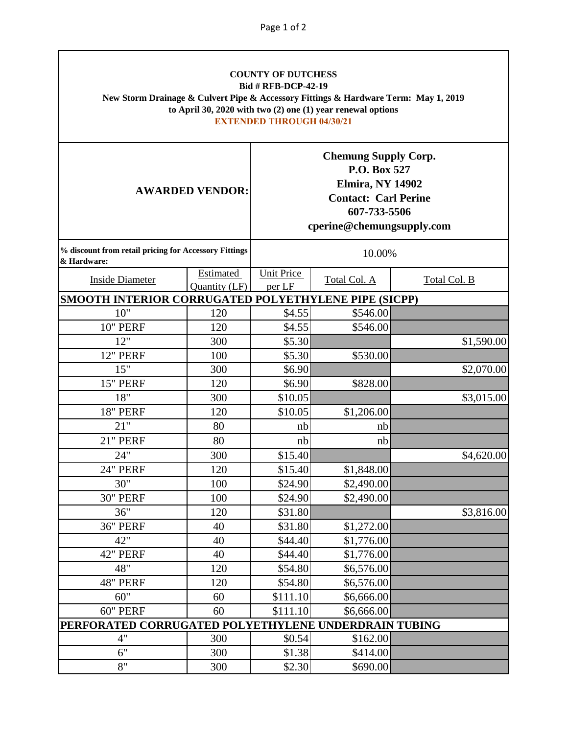| <b>COUNTY OF DUTCHESS</b><br><b>Bid # RFB-DCP-42-19</b><br>New Storm Drainage & Culvert Pipe & Accessory Fittings & Hardware Term: May 1, 2019<br>to April 30, 2020 with two $(2)$ one $(1)$ year renewal options<br><b>EXTENDED THROUGH 04/30/21</b> |                            |                                                                                                                                                    |              |              |  |  |  |
|-------------------------------------------------------------------------------------------------------------------------------------------------------------------------------------------------------------------------------------------------------|----------------------------|----------------------------------------------------------------------------------------------------------------------------------------------------|--------------|--------------|--|--|--|
| <b>AWARDED VENDOR:</b>                                                                                                                                                                                                                                |                            | <b>Chemung Supply Corp.</b><br>P.O. Box 527<br><b>Elmira, NY 14902</b><br><b>Contact: Carl Perine</b><br>607-733-5506<br>cperine@chemungsupply.com |              |              |  |  |  |
| % discount from retail pricing for Accessory Fittings<br>& Hardware:                                                                                                                                                                                  |                            | 10.00%                                                                                                                                             |              |              |  |  |  |
| <b>Inside Diameter</b>                                                                                                                                                                                                                                | Estimated<br>Quantity (LF) | <b>Unit Price</b><br>per LF                                                                                                                        | Total Col. A | Total Col. B |  |  |  |
| SMOOTH INTERIOR CORRUGATED POLYETHYLENE PIPE (SICPP)                                                                                                                                                                                                  |                            |                                                                                                                                                    |              |              |  |  |  |
| 10"                                                                                                                                                                                                                                                   | 120                        | \$4.55                                                                                                                                             | \$546.00     |              |  |  |  |
| 10" PERF                                                                                                                                                                                                                                              | 120                        | \$4.55                                                                                                                                             | \$546.00     |              |  |  |  |
| 12"                                                                                                                                                                                                                                                   | 300                        | \$5.30                                                                                                                                             |              | \$1,590.00   |  |  |  |
| 12" PERF                                                                                                                                                                                                                                              | 100                        | \$5.30                                                                                                                                             | \$530.00     |              |  |  |  |
| 15"                                                                                                                                                                                                                                                   | 300                        | \$6.90                                                                                                                                             |              | \$2,070.00   |  |  |  |
| 15" PERF                                                                                                                                                                                                                                              | 120                        | \$6.90                                                                                                                                             | \$828.00     |              |  |  |  |
| 18"                                                                                                                                                                                                                                                   | 300                        | \$10.05                                                                                                                                            |              | \$3,015.00   |  |  |  |
| <b>18" PERF</b>                                                                                                                                                                                                                                       | 120                        | \$10.05                                                                                                                                            | \$1,206.00   |              |  |  |  |
| 21"                                                                                                                                                                                                                                                   | 80                         | nb                                                                                                                                                 | nb           |              |  |  |  |
| 21" PERF                                                                                                                                                                                                                                              | 80                         | nb                                                                                                                                                 | nb           |              |  |  |  |
| 24"                                                                                                                                                                                                                                                   | 300                        | \$15.40                                                                                                                                            |              | \$4,620.00   |  |  |  |
| 24" PERF                                                                                                                                                                                                                                              | 120                        | \$15.40                                                                                                                                            | \$1,848.00   |              |  |  |  |
| 30"                                                                                                                                                                                                                                                   | 100                        | \$24.90                                                                                                                                            | \$2,490.00   |              |  |  |  |
| <b>30" PERF</b>                                                                                                                                                                                                                                       | 100                        | \$24.90                                                                                                                                            | \$2,490.00   |              |  |  |  |
| 36"                                                                                                                                                                                                                                                   | 120                        | \$31.80                                                                                                                                            |              | \$3,816.00   |  |  |  |
| <b>36" PERF</b>                                                                                                                                                                                                                                       | 40                         | \$31.80                                                                                                                                            | \$1,272.00   |              |  |  |  |
| 42"                                                                                                                                                                                                                                                   | 40                         | \$44.40                                                                                                                                            | \$1,776.00   |              |  |  |  |
| 42" PERF                                                                                                                                                                                                                                              | 40                         | \$44.40                                                                                                                                            | \$1,776.00   |              |  |  |  |
| 48"                                                                                                                                                                                                                                                   | 120                        | \$54.80                                                                                                                                            | \$6,576.00   |              |  |  |  |
| 48" PERF                                                                                                                                                                                                                                              | 120                        | \$54.80                                                                                                                                            | \$6,576.00   |              |  |  |  |
| 60"                                                                                                                                                                                                                                                   | 60                         | \$111.10                                                                                                                                           | \$6,666.00   |              |  |  |  |
| 60" PERF                                                                                                                                                                                                                                              | 60                         | \$111.10                                                                                                                                           | \$6,666.00   |              |  |  |  |
| PERFORATED CORRUGATED POLYETHYLENE UNDERDRAIN TUBING                                                                                                                                                                                                  |                            |                                                                                                                                                    |              |              |  |  |  |
| 4"                                                                                                                                                                                                                                                    | 300                        | \$0.54                                                                                                                                             | \$162.00     |              |  |  |  |
| 6"                                                                                                                                                                                                                                                    | 300                        | \$1.38                                                                                                                                             | \$414.00     |              |  |  |  |
| 8"                                                                                                                                                                                                                                                    | 300                        | \$2.30                                                                                                                                             | \$690.00     |              |  |  |  |